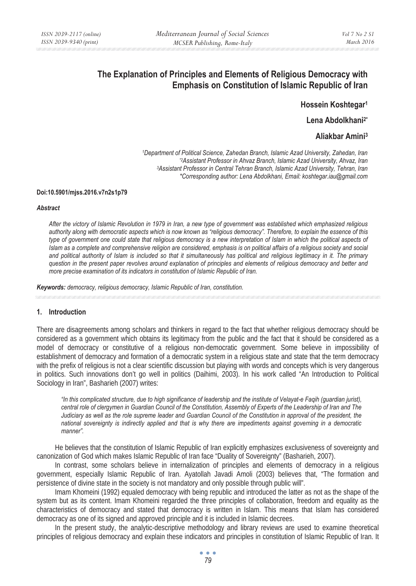# **The Explanation of Principles and Elements of Religious Democracy with Emphasis on Constitution of Islamic Republic of Iran**

**Hossein Koshtegar1**

**Lena Abdolkhani2\*** 

# **Aliakbar Amini3**

*1Department of Political Science, Zahedan Branch, Islamic Azad University, Zahedan, Iran \*2Assistant Professor in Ahvaz Branch, Islamic Azad University, Ahvaz, Iran 3Assistant Professor in Central Tehran Branch, Islamic Azad University, Tehran, Iran \*Corresponding author: Lena Abdolkhani, Email: koshtegar.iau@gmail.com* 

#### **Doi:10.5901/mjss.2016.v7n2s1p79**

#### *Abstract*

*After the victory of Islamic Revolution in 1979 in Iran, a new type of government was established which emphasized religious authority along with democratic aspects which is now known as "religious democracy". Therefore, to explain the essence of this type of government one could state that religious democracy is a new interpretation of Islam in which the political aspects of Islam as a complete and comprehensive religion are considered, emphasis is on political affairs of a religious society and social* and political authority of Islam is included so that it simultaneously has political and religious legitimacy in it. The primary *question in the present paper revolves around explanation of principles and elements of religious democracy and better and more precise examination of its indicators in constitution of Islamic Republic of Iran.* 

*Keywords: democracy, religious democracy, Islamic Republic of Iran, constitution.* 

### **1. Introduction**

There are disagreements among scholars and thinkers in regard to the fact that whether religious democracy should be considered as a government which obtains its legitimacy from the public and the fact that it should be considered as a model of democracy or constitutive of a religious non-democratic government. Some believe in impossibility of establishment of democracy and formation of a democratic system in a religious state and state that the term democracy with the prefix of religious is not a clear scientific discussion but playing with words and concepts which is very dangerous in politics. Such innovations don't go well in politics (Daihimi, 2003). In his work called "An Introduction to Political Sociology in Iran", Basharieh (2007) writes:

*"In this complicated structure, due to high significance of leadership and the institute of Velayat-e Faqih (guardian jurist), central role of clergymen in Guardian Council of the Constitution, Assembly of Experts of the Leadership of Iran and The Judiciary as well as the role supreme leader and Guardian Council of the Constitution in approval of the president, the national sovereignty is indirectly applied and that is why there are impediments against governing in a democratic manner".* 

He believes that the constitution of Islamic Republic of Iran explicitly emphasizes exclusiveness of sovereignty and canonization of God which makes Islamic Republic of Iran face "Duality of Sovereignty" (Basharieh, 2007).

In contrast, some scholars believe in internalization of principles and elements of democracy in a religious government, especially Islamic Republic of Iran. Ayatollah Javadi Amoli (2003) believes that, "The formation and persistence of divine state in the society is not mandatory and only possible through public will".

Imam Khomeini (1992) equaled democracy with being republic and introduced the latter as not as the shape of the system but as its content. Imam Khomeini regarded the three principles of collaboration, freedom and equality as the characteristics of democracy and stated that democracy is written in Islam. This means that Islam has considered democracy as one of its signed and approved principle and it is included in Islamic decrees.

In the present study, the analytic-descriptive methodology and library reviews are used to examine theoretical principles of religious democracy and explain these indicators and principles in constitution of Islamic Republic of Iran. It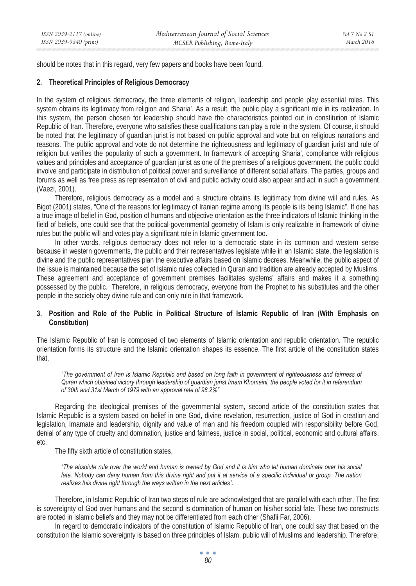should be notes that in this regard, very few papers and books have been found.

### **2. Theoretical Principles of Religious Democracy**

In the system of religious democracy, the three elements of religion, leadership and people play essential roles. This system obtains its legitimacy from religion and Sharia'. As a result, the public play a significant role in its realization. In this system, the person chosen for leadership should have the characteristics pointed out in constitution of Islamic Republic of Iran. Therefore, everyone who satisfies these qualifications can play a role in the system. Of course, it should be noted that the legitimacy of guardian jurist is not based on public approval and vote but on religious narrations and reasons. The public approval and vote do not determine the righteousness and legitimacy of guardian jurist and rule of religion but verifies the popularity of such a government. In framework of accepting Sharia', compliance with religious values and principles and acceptance of guardian jurist as one of the premises of a religious government, the public could involve and participate in distribution of political power and surveillance of different social affairs. The parties, groups and forums as well as free press as representation of civil and public activity could also appear and act in such a government (Vaezi, 2001).

Therefore, religious democracy as a model and a structure obtains its legitimacy from divine will and rules. As Bigot (2001) states, "One of the reasons for legitimacy of Iranian regime among its people is its being Islamic". If one has a true image of belief in God, position of humans and objective orientation as the three indicators of Islamic thinking in the field of beliefs, one could see that the political-governmental geometry of Islam is only realizable in framework of divine rules but the public will and votes play a significant role in Islamic government too.

In other words, religious democracy does not refer to a democratic state in its common and western sense because in western governments, the public and their representatives legislate while in an Islamic state, the legislation is divine and the public representatives plan the executive affairs based on Islamic decrees. Meanwhile, the public aspect of the issue is maintained because the set of Islamic rules collected in Quran and tradition are already accepted by Muslims. These agreement and acceptance of government premises facilitates systems' affairs and makes it a something possessed by the public. Therefore, in religious democracy, everyone from the Prophet to his substitutes and the other people in the society obey divine rule and can only rule in that framework.

### **3. Position and Role of the Public in Political Structure of Islamic Republic of Iran (With Emphasis on Constitution)**

The Islamic Republic of Iran is composed of two elements of Islamic orientation and republic orientation. The republic orientation forms its structure and the Islamic orientation shapes its essence. The first article of the constitution states that,

*"The government of Iran is Islamic Republic and based on long faith in government of righteousness and fairness of Quran which obtained victory through leadership of guardian jurist Imam Khomeini, the people voted for it in referendum of 30th and 31st March of 1979 with an approval rate of 98.2%"* 

Regarding the ideological premises of the governmental system, second article of the constitution states that Islamic Republic is a system based on belief in one God, divine revelation, resurrection, justice of God in creation and legislation, Imamate and leadership, dignity and value of man and his freedom coupled with responsibility before God, denial of any type of cruelty and domination, justice and fairness, justice in social, political, economic and cultural affairs, etc.

The fifty sixth article of constitution states,

*"The absolute rule over the world and human is owned by God and it is him who let human dominate over his social fate. Nobody can deny human from this divine right and put it at service of a specific individual or group. The nation realizes this divine right through the ways written in the next articles".* 

Therefore, in Islamic Republic of Iran two steps of rule are acknowledged that are parallel with each other. The first is sovereignty of God over humans and the second is domination of human on his/her social fate. These two constructs are rooted in Islamic beliefs and they may not be differentiated from each other (Shafii Far, 2006).

In regard to democratic indicators of the constitution of Islamic Republic of Iran, one could say that based on the constitution the Islamic sovereignty is based on three principles of Islam, public will of Muslims and leadership. Therefore,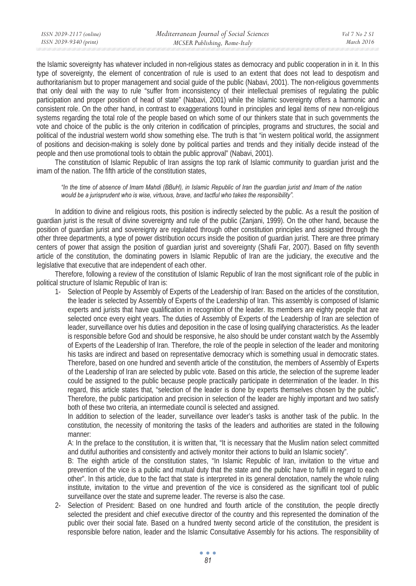the Islamic sovereignty has whatever included in non-religious states as democracy and public cooperation in in it. In this type of sovereignty, the element of concentration of rule is used to an extent that does not lead to despotism and authoritarianism but to proper management and social guide of the public (Nabavi, 2001). The non-religious governments that only deal with the way to rule "suffer from inconsistency of their intellectual premises of regulating the public participation and proper position of head of state" (Nabavi, 2001) while the Islamic sovereignty offers a harmonic and consistent role. On the other hand, in contrast to exaggerations found in principles and legal items of new non-religious systems regarding the total role of the people based on which some of our thinkers state that in such governments the vote and choice of the public is the only criterion in codification of principles, programs and structures, the social and political of the industrial western world show something else. The truth is that "in western political world, the assignment of positions and decision-making is solely done by political parties and trends and they initially decide instead of the people and then use promotional tools to obtain the public approval" (Nabavi, 2001).

The constitution of Islamic Republic of Iran assigns the top rank of Islamic community to guardian jurist and the imam of the nation. The fifth article of the constitution states,

#### *"In the time of absence of Imam Mahdi (BBuH), in Islamic Republic of Iran the guardian jurist and Imam of the nation would be a jurisprudent who is wise, virtuous, brave, and tactful who takes the responsibility".*

In addition to divine and religious roots, this position is indirectly selected by the public. As a result the position of guardian jurist is the result of divine sovereignty and rule of the public (Zanjani, 1999). On the other hand, because the position of guardian jurist and sovereignty are regulated through other constitution principles and assigned through the other three departments, a type of power distribution occurs inside the position of guardian jurist. There are three primary centers of power that assign the position of guardian jurist and sovereignty (Shafii Far, 2007). Based on fifty seventh article of the constitution, the dominating powers in Islamic Republic of Iran are the judiciary, the executive and the legislative that executive that are independent of each other.

Therefore, following a review of the constitution of Islamic Republic of Iran the most significant role of the public in political structure of Islamic Republic of Iran is:

1- Selection of People by Assembly of Experts of the Leadership of Iran: Based on the articles of the constitution, the leader is selected by Assembly of Experts of the Leadership of Iran. This assembly is composed of Islamic experts and jurists that have qualification in recognition of the leader. Its members are eighty people that are selected once every eight years. The duties of Assembly of Experts of the Leadership of Iran are selection of leader, surveillance over his duties and deposition in the case of losing qualifying characteristics. As the leader is responsible before God and should be responsive, he also should be under constant watch by the Assembly of Experts of the Leadership of Iran. Therefore, the role of the people in selection of the leader and monitoring his tasks are indirect and based on representative democracy which is something usual in democratic states. Therefore, based on one hundred and seventh article of the constitution, the members of Assembly of Experts of the Leadership of Iran are selected by public vote. Based on this article, the selection of the supreme leader could be assigned to the public because people practically participate in determination of the leader. In this regard, this article states that, "selection of the leader is done by experts themselves chosen by the public". Therefore, the public participation and precision in selection of the leader are highly important and two satisfy both of these two criteria, an intermediate council is selected and assigned.

In addition to selection of the leader, surveillance over leader's tasks is another task of the public. In the constitution, the necessity of monitoring the tasks of the leaders and authorities are stated in the following manner:

A: In the preface to the constitution, it is written that, "It is necessary that the Muslim nation select committed and dutiful authorities and consistently and actively monitor their actions to build an Islamic society".

B: The eighth article of the constitution states, "In Islamic Republic of Iran, invitation to the virtue and prevention of the vice is a public and mutual duty that the state and the public have to fulfil in regard to each other". In this article, due to the fact that state is interpreted in its general denotation, namely the whole ruling institute, invitation to the virtue and prevention of the vice is considered as the significant tool of public surveillance over the state and supreme leader. The reverse is also the case.

2- Selection of President: Based on one hundred and fourth article of the constitution, the people directly selected the president and chief executive director of the country and this represented the domination of the public over their social fate. Based on a hundred twenty second article of the constitution, the president is responsible before nation, leader and the Islamic Consultative Assembly for his actions. The responsibility of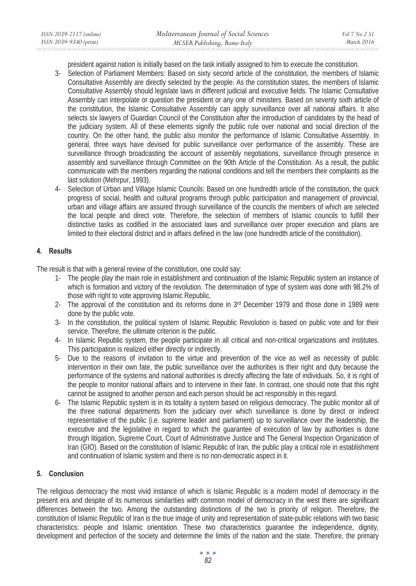president against nation is initially based on the task initially assigned to him to execute the constitution.

- 3- Selection of Parliament Members: Based on sixty second article of the constitution, the members of Islamic Consultative Assembly are directly selected by the people. As the constitution states, the members of Islamic Consultative Assembly should legislate laws in different judicial and executive fields. The Islamic Consultative Assembly can interpolate or question the president or any one of ministers. Based on seventy sixth article of the constitution, the Islamic Consultative Assembly can apply surveillance over all national affairs. It also selects six lawyers of Guardian Council of the Constitution after the introduction of candidates by the head of the judiciary system. All of these elements signify the public rule over national and social direction of the country. On the other hand, the public also monitor the performance of Islamic Consultative Assembly. In general, three ways have devised for public surveillance over performance of the assembly. These are surveillance through broadcasting the account of assembly negotiations, surveillance through presence in assembly and surveillance through Committee on the 90th Article of the Constitution. As a result, the public communicate with the members regarding the national conditions and tell the members their complaints as the last solution (Mehrpur, 1993).
- 4- Selection of Urban and Village Islamic Councils: Based on one hundredth article of the constitution, the quick progress of social, health and cultural programs through public participation and management of provincial, urban and village affairs are assured through surveillance of the councils the members of which are selected the local people and direct vote. Therefore, the selection of members of Islamic councils to fulfill their distinctive tasks as codified in the associated laws and surveillance over proper execution and plans are limited to their electoral district and in affairs defined in the law (one hundredth article of the constitution).

# **4. Results**

The result is that with a general review of the constitution, one could say:

- 1- The people play the main role in establishment and continuation of the Islamic Republic system an instance of which is formation and victory of the revolution. The determination of type of system was done with 98.2% of those with right to vote approving Islamic Republic.
- 2- The approval of the constitution and its reforms done in 3rd December 1979 and those done in 1989 were done by the public vote.
- 3- In the constitution, the political system of Islamic Republic Revolution is based on public vote and for their service. Therefore, the ultimate criterion is the public.
- 4- In Islamic Republic system, the people participate in all critical and non-critical organizations and institutes. This participation is realized either directly or indirectly.
- 5- Due to the reasons of invitation to the virtue and prevention of the vice as well as necessity of public intervention in their own fate, the public surveillance over the authorities is their right and duty because the performance of the systems and national authorities is directly affecting the fate of individuals. So, it is right of the people to monitor national affairs and to intervene in their fate. In contrast, one should note that this right cannot be assigned to another person and each person should be act responsibly in this regard.
- 6- The Islamic Republic system is in its totality a system based on religious democracy. The public monitor all of the three national departments from the judiciary over which surveillance is done by direct or indirect representative of the public (i.e. supreme leader and parliament) up to surveillance over the leadership, the executive and the legislative in regard to which the guarantee of execution of law by authorities is done through litigation, Supreme Court, Court of Administrative Justice and The General Inspection Organization of Iran (GIO). Based on the constitution of Islamic Republic of Iran, the public play a critical role in establishment and continuation of Islamic system and there is no non-democratic aspect in it.

# **5. Conclusion**

The religious democracy the most vivid instance of which is Islamic Republic is a modern model of democracy in the present era and despite of its numerous similarities with common model of democracy in the west there are significant differences between the two. Among the outstanding distinctions of the two is priority of religion. Therefore, the constitution of Islamic Republic of Iran is the true image of unity and representation of state-public relations with two basic characteristics: people and Islamic orientation. These two characteristics guarantee the independence, dignity, development and perfection of the society and determine the limits of the nation and the state. Therefore, the primary